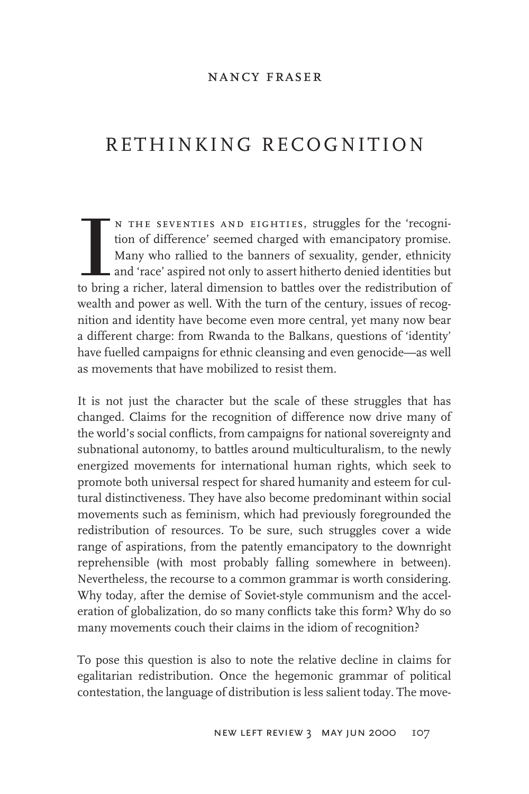#### nancy fraser

# RETHINKING RECOGNITION

N THE SEVENTIES AND EIGHTIES, struggles for the 'recognition of difference' seemed charged with emancipatory promise.<br>Many who rallied to the banners of sexuality, gender, ethnicity<br>and 'race' aspired not only to assert hi n the seventies and eighties, struggles for the 'recognition of difference' seemed charged with emancipatory promise. Many who rallied to the banners of sexuality, gender, ethnicity and 'race' aspired not only to assert hitherto denied identities but wealth and power as well. With the turn of the century, issues of recognition and identity have become even more central, yet many now bear a different charge: from Rwanda to the Balkans, questions of 'identity' have fuelled campaigns for ethnic cleansing and even genocide—as well as movements that have mobilized to resist them.

It is not just the character but the scale of these struggles that has changed. Claims for the recognition of difference now drive many of the world's social conflicts, from campaigns for national sovereignty and subnational autonomy, to battles around multiculturalism, to the newly energized movements for international human rights, which seek to promote both universal respect for shared humanity and esteem for cultural distinctiveness. They have also become predominant within social movements such as feminism, which had previously foregrounded the redistribution of resources. To be sure, such struggles cover a wide range of aspirations, from the patently emancipatory to the downright reprehensible (with most probably falling somewhere in between). Nevertheless, the recourse to a common grammar is worth considering. Why today, after the demise of Soviet-style communism and the acceleration of globalization, do so many conflicts take this form? Why do so many movements couch their claims in the idiom of recognition?

To pose this question is also to note the relative decline in claims for egalitarian redistribution. Once the hegemonic grammar of political contestation, the language of distribution is less salient today. The move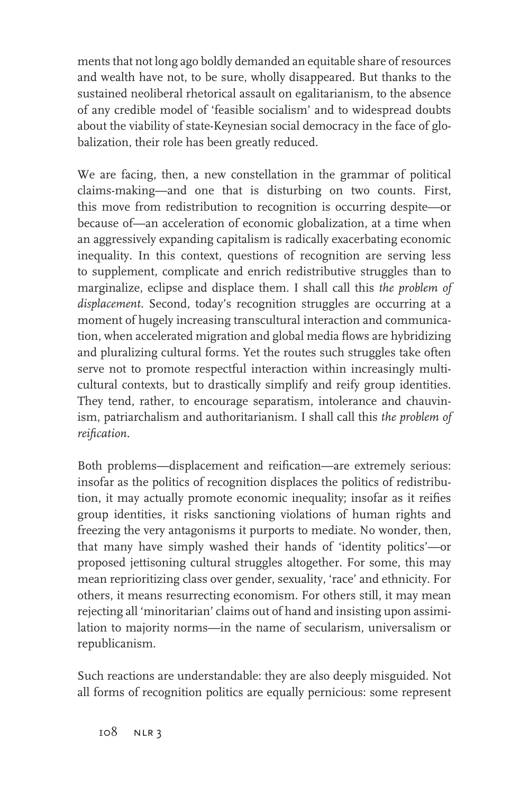ments that not long ago boldly demanded an equitable share of resources and wealth have not, to be sure, wholly disappeared. But thanks to the sustained neoliberal rhetorical assault on egalitarianism, to the absence of any credible model of 'feasible socialism' and to widespread doubts about the viability of state-Keynesian social democracy in the face of globalization, their role has been greatly reduced.

We are facing, then, a new constellation in the grammar of political claims-making—and one that is disturbing on two counts. First, this move from redistribution to recognition is occurring despite—or because of—an acceleration of economic globalization, at a time when an aggressively expanding capitalism is radically exacerbating economic inequality. In this context, questions of recognition are serving less to supplement, complicate and enrich redistributive struggles than to marginalize, eclipse and displace them. I shall call this *the problem of displacement*. Second, today's recognition struggles are occurring at a moment of hugely increasing transcultural interaction and communication, when accelerated migration and global media flows are hybridizing and pluralizing cultural forms. Yet the routes such struggles take often serve not to promote respectful interaction within increasingly multicultural contexts, but to drastically simplify and reify group identities. They tend, rather, to encourage separatism, intolerance and chauvinism, patriarchalism and authoritarianism. I shall call this *the problem of reifi cation*.

Both problems—displacement and reification—are extremely serious: insofar as the politics of recognition displaces the politics of redistribution, it may actually promote economic inequality; insofar as it reifies group identities, it risks sanctioning violations of human rights and freezing the very antagonisms it purports to mediate. No wonder, then, that many have simply washed their hands of 'identity politics'—or proposed jettisoning cultural struggles altogether. For some, this may mean reprioritizing class over gender, sexuality, 'race' and ethnicity. For others, it means resurrecting economism. For others still, it may mean rejecting all 'minoritarian' claims out of hand and insisting upon assimilation to majority norms—in the name of secularism, universalism or republicanism.

Such reactions are understandable: they are also deeply misguided. Not all forms of recognition politics are equally pernicious: some represent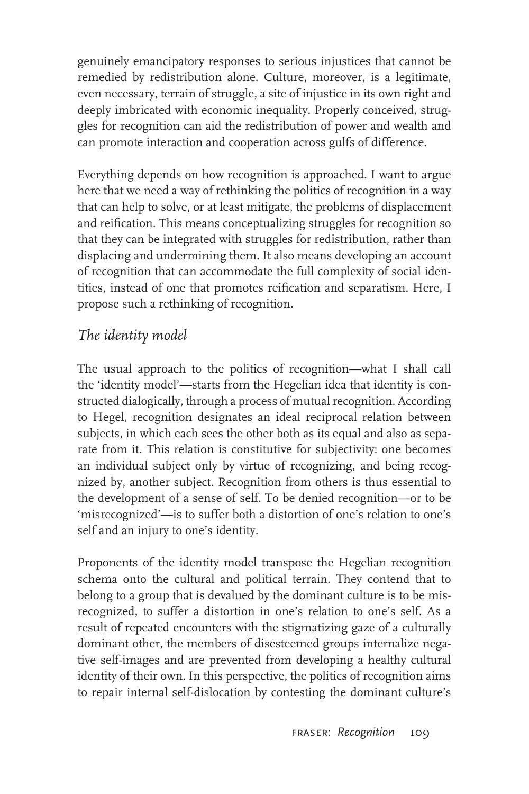genuinely emancipatory responses to serious injustices that cannot be remedied by redistribution alone. Culture, moreover, is a legitimate, even necessary, terrain of struggle, a site of injustice in its own right and deeply imbricated with economic inequality. Properly conceived, struggles for recognition can aid the redistribution of power and wealth and can promote interaction and cooperation across gulfs of difference.

Everything depends on how recognition is approached. I want to argue here that we need a way of rethinking the politics of recognition in a way that can help to solve, or at least mitigate, the problems of displacement and reification. This means conceptualizing struggles for recognition so that they can be integrated with struggles for redistribution, rather than displacing and undermining them. It also means developing an account of recognition that can accommodate the full complexity of social identities, instead of one that promotes reification and separatism. Here, I propose such a rethinking of recognition.

### *The identity model*

The usual approach to the politics of recognition—what I shall call the 'identity model'—starts from the Hegelian idea that identity is constructed dialogically, through a process of mutual recognition. According to Hegel, recognition designates an ideal reciprocal relation between subjects, in which each sees the other both as its equal and also as separate from it. This relation is constitutive for subjectivity: one becomes an individual subject only by virtue of recognizing, and being recognized by, another subject. Recognition from others is thus essential to the development of a sense of self. To be denied recognition—or to be 'misrecognized'—is to suffer both a distortion of one's relation to one's self and an injury to one's identity.

Proponents of the identity model transpose the Hegelian recognition schema onto the cultural and political terrain. They contend that to belong to a group that is devalued by the dominant culture is to be misrecognized, to suffer a distortion in one's relation to one's self. As a result of repeated encounters with the stigmatizing gaze of a culturally dominant other, the members of disesteemed groups internalize negative self-images and are prevented from developing a healthy cultural identity of their own. In this perspective, the politics of recognition aims to repair internal self-dislocation by contesting the dominant culture's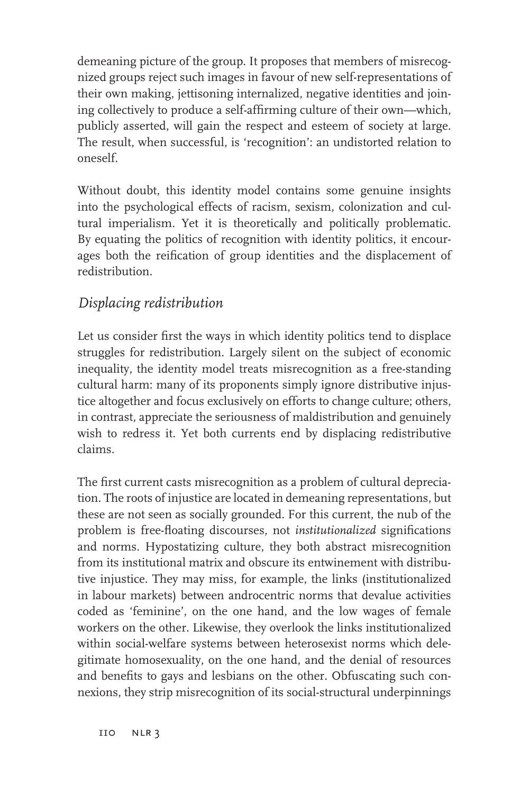demeaning picture of the group. It proposes that members of misrecognized groups reject such images in favour of new self-representations of their own making, jettisoning internalized, negative identities and joining collectively to produce a self-affirming culture of their own—which, publicly asserted, will gain the respect and esteem of society at large. The result, when successful, is 'recognition': an undistorted relation to oneself.

Without doubt, this identity model contains some genuine insights into the psychological effects of racism, sexism, colonization and cultural imperialism. Yet it is theoretically and politically problematic. By equating the politics of recognition with identity politics, it encourages both the reification of group identities and the displacement of redistribution.

## *Displacing redistribution*

Let us consider first the ways in which identity politics tend to displace struggles for redistribution. Largely silent on the subject of economic inequality, the identity model treats misrecognition as a free-standing cultural harm: many of its proponents simply ignore distributive injustice altogether and focus exclusively on efforts to change culture; others, in contrast, appreciate the seriousness of maldistribution and genuinely wish to redress it. Yet both currents end by displacing redistributive claims.

The first current casts misrecognition as a problem of cultural depreciation. The roots of injustice are located in demeaning representations, but these are not seen as socially grounded. For this current, the nub of the problem is free-floating discourses, not *institutionalized* significations and norms. Hypostatizing culture, they both abstract misrecognition from its institutional matrix and obscure its entwinement with distributive injustice. They may miss, for example, the links (institutionalized in labour markets) between androcentric norms that devalue activities coded as 'feminine', on the one hand, and the low wages of female workers on the other. Likewise, they overlook the links institutionalized within social-welfare systems between heterosexist norms which delegitimate homosexuality, on the one hand, and the denial of resources and benefits to gays and lesbians on the other. Obfuscating such connexions, they strip misrecognition of its social-structural underpinnings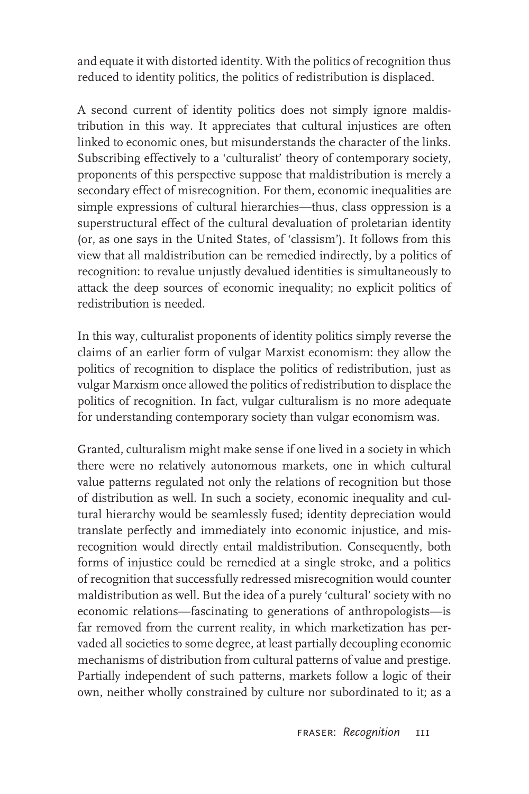and equate it with distorted identity. With the politics of recognition thus reduced to identity politics, the politics of redistribution is displaced.

A second current of identity politics does not simply ignore maldistribution in this way. It appreciates that cultural injustices are often linked to economic ones, but misunderstands the character of the links. Subscribing effectively to a 'culturalist' theory of contemporary society, proponents of this perspective suppose that maldistribution is merely a secondary effect of misrecognition. For them, economic inequalities are simple expressions of cultural hierarchies—thus, class oppression is a superstructural effect of the cultural devaluation of proletarian identity (or, as one says in the United States, of 'classism'). It follows from this view that all maldistribution can be remedied indirectly, by a politics of recognition: to revalue unjustly devalued identities is simultaneously to attack the deep sources of economic inequality; no explicit politics of redistribution is needed.

In this way, culturalist proponents of identity politics simply reverse the claims of an earlier form of vulgar Marxist economism: they allow the politics of recognition to displace the politics of redistribution, just as vulgar Marxism once allowed the politics of redistribution to displace the politics of recognition. In fact, vulgar culturalism is no more adequate for understanding contemporary society than vulgar economism was.

Granted, culturalism might make sense if one lived in a society in which there were no relatively autonomous markets, one in which cultural value patterns regulated not only the relations of recognition but those of distribution as well. In such a society, economic inequality and cultural hierarchy would be seamlessly fused; identity depreciation would translate perfectly and immediately into economic injustice, and misrecognition would directly entail maldistribution. Consequently, both forms of injustice could be remedied at a single stroke, and a politics of recognition that successfully redressed misrecognition would counter maldistribution as well. But the idea of a purely 'cultural' society with no economic relations—fascinating to generations of anthropologists—is far removed from the current reality, in which marketization has pervaded all societies to some degree, at least partially decoupling economic mechanisms of distribution from cultural patterns of value and prestige. Partially independent of such patterns, markets follow a logic of their own, neither wholly constrained by culture nor subordinated to it; as a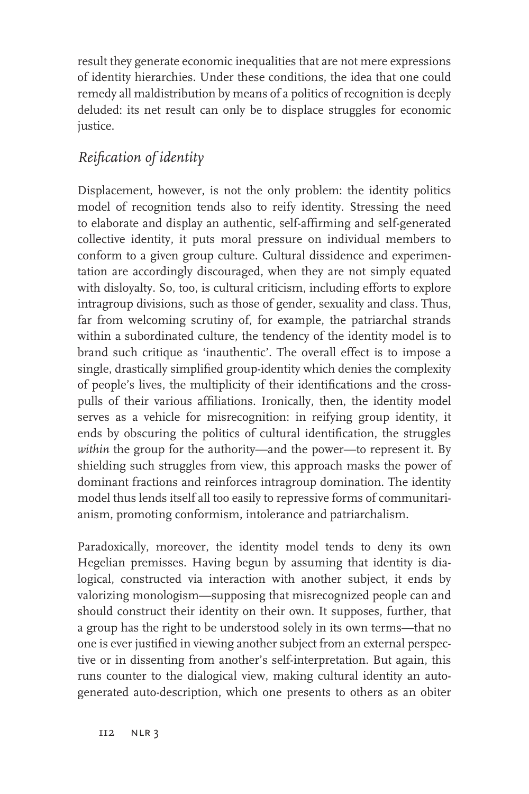result they generate economic inequalities that are not mere expressions of identity hierarchies. Under these conditions, the idea that one could remedy all maldistribution by means of a politics of recognition is deeply deluded: its net result can only be to displace struggles for economic justice.

# *Reifi cation of identity*

Displacement, however, is not the only problem: the identity politics model of recognition tends also to reify identity. Stressing the need to elaborate and display an authentic, self-affirming and self-generated collective identity, it puts moral pressure on individual members to conform to a given group culture. Cultural dissidence and experimentation are accordingly discouraged, when they are not simply equated with disloyalty. So, too, is cultural criticism, including efforts to explore intragroup divisions, such as those of gender, sexuality and class. Thus, far from welcoming scrutiny of, for example, the patriarchal strands within a subordinated culture, the tendency of the identity model is to brand such critique as 'inauthentic'. The overall effect is to impose a single, drastically simplified group-identity which denies the complexity of people's lives, the multiplicity of their identifications and the crosspulls of their various affiliations. Ironically, then, the identity model serves as a vehicle for misrecognition: in reifying group identity, it ends by obscuring the politics of cultural identification, the struggles *within* the group for the authority—and the power—to represent it. By shielding such struggles from view, this approach masks the power of dominant fractions and reinforces intragroup domination. The identity model thus lends itself all too easily to repressive forms of communitarianism, promoting conformism, intolerance and patriarchalism.

Paradoxically, moreover, the identity model tends to deny its own Hegelian premisses. Having begun by assuming that identity is dialogical, constructed via interaction with another subject, it ends by valorizing monologism—supposing that misrecognized people can and should construct their identity on their own. It supposes, further, that a group has the right to be understood solely in its own terms—that no one is ever justified in viewing another subject from an external perspective or in dissenting from another's self-interpretation. But again, this runs counter to the dialogical view, making cultural identity an autogenerated auto-description, which one presents to others as an obiter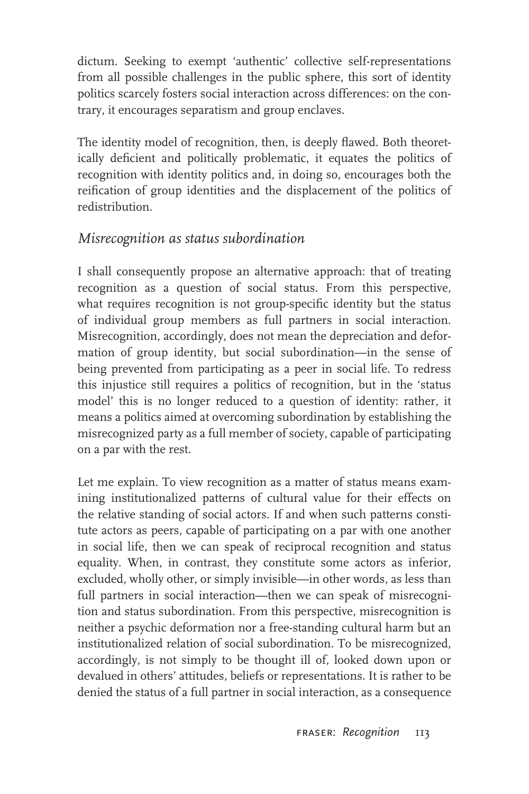dictum. Seeking to exempt 'authentic' collective self-representations from all possible challenges in the public sphere, this sort of identity politics scarcely fosters social interaction across differences: on the contrary, it encourages separatism and group enclaves.

The identity model of recognition, then, is deeply flawed. Both theoretically deficient and politically problematic, it equates the politics of recognition with identity politics and, in doing so, encourages both the reification of group identities and the displacement of the politics of redistribution.

#### *Misrecognition as status subordination*

I shall consequently propose an alternative approach: that of treating recognition as a question of social status. From this perspective, what requires recognition is not group-specific identity but the status of individual group members as full partners in social interaction. Misrecognition, accordingly, does not mean the depreciation and deformation of group identity, but social subordination—in the sense of being prevented from participating as a peer in social life. To redress this injustice still requires a politics of recognition, but in the 'status model' this is no longer reduced to a question of identity: rather, it means a politics aimed at overcoming subordination by establishing the misrecognized party as a full member of society, capable of participating on a par with the rest.

Let me explain. To view recognition as a matter of status means examining institutionalized patterns of cultural value for their effects on the relative standing of social actors. If and when such patterns constitute actors as peers, capable of participating on a par with one another in social life, then we can speak of reciprocal recognition and status equality. When, in contrast, they constitute some actors as inferior, excluded, wholly other, or simply invisible—in other words, as less than full partners in social interaction—then we can speak of misrecognition and status subordination. From this perspective, misrecognition is neither a psychic deformation nor a free-standing cultural harm but an institutionalized relation of social subordination. To be misrecognized, accordingly, is not simply to be thought ill of, looked down upon or devalued in others' attitudes, beliefs or representations. It is rather to be denied the status of a full partner in social interaction, as a consequence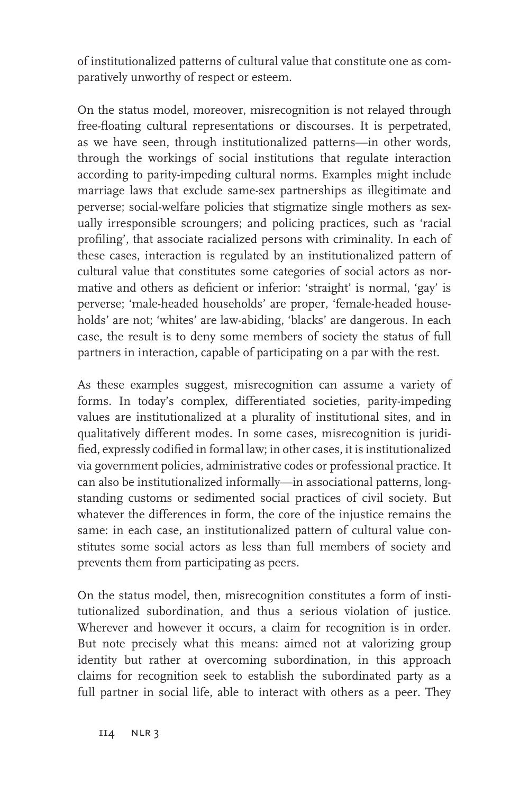of institutionalized patterns of cultural value that constitute one as comparatively unworthy of respect or esteem.

On the status model, moreover, misrecognition is not relayed through free-floating cultural representations or discourses. It is perpetrated, as we have seen, through institutionalized patterns—in other words, through the workings of social institutions that regulate interaction according to parity-impeding cultural norms. Examples might include marriage laws that exclude same-sex partnerships as illegitimate and perverse; social-welfare policies that stigmatize single mothers as sexually irresponsible scroungers; and policing practices, such as 'racial profiling', that associate racialized persons with criminality. In each of these cases, interaction is regulated by an institutionalized pattern of cultural value that constitutes some categories of social actors as normative and others as deficient or inferior: 'straight' is normal, 'gay' is perverse; 'male-headed households' are proper, 'female-headed households' are not; 'whites' are law-abiding, 'blacks' are dangerous. In each case, the result is to deny some members of society the status of full partners in interaction, capable of participating on a par with the rest.

As these examples suggest, misrecognition can assume a variety of forms. In today's complex, differentiated societies, parity-impeding values are institutionalized at a plurality of institutional sites, and in qualitatively different modes. In some cases, misrecognition is juridified, expressly codified in formal law; in other cases, it is institutionalized via government policies, administrative codes or professional practice. It can also be institutionalized informally—in associational patterns, longstanding customs or sedimented social practices of civil society. But whatever the differences in form, the core of the injustice remains the same: in each case, an institutionalized pattern of cultural value constitutes some social actors as less than full members of society and prevents them from participating as peers.

On the status model, then, misrecognition constitutes a form of institutionalized subordination, and thus a serious violation of justice. Wherever and however it occurs, a claim for recognition is in order. But note precisely what this means: aimed not at valorizing group identity but rather at overcoming subordination, in this approach claims for recognition seek to establish the subordinated party as a full partner in social life, able to interact with others as a peer. They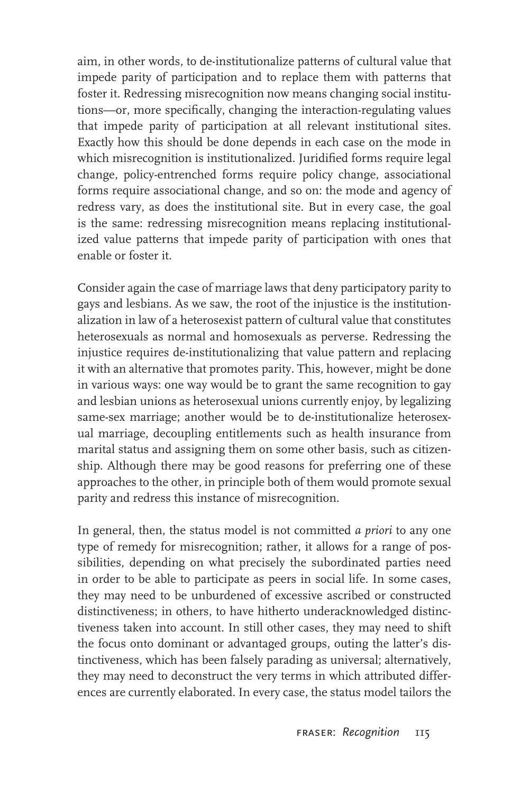aim, in other words, to de-institutionalize patterns of cultural value that impede parity of participation and to replace them with patterns that foster it. Redressing misrecognition now means changing social institutions—or, more specifically, changing the interaction-regulating values that impede parity of participation at all relevant institutional sites. Exactly how this should be done depends in each case on the mode in which misrecognition is institutionalized. Juridified forms require legal change, policy-entrenched forms require policy change, associational forms require associational change, and so on: the mode and agency of redress vary, as does the institutional site. But in every case, the goal is the same: redressing misrecognition means replacing institutionalized value patterns that impede parity of participation with ones that enable or foster it.

Consider again the case of marriage laws that deny participatory parity to gays and lesbians. As we saw, the root of the injustice is the institutionalization in law of a heterosexist pattern of cultural value that constitutes heterosexuals as normal and homosexuals as perverse. Redressing the injustice requires de-institutionalizing that value pattern and replacing it with an alternative that promotes parity. This, however, might be done in various ways: one way would be to grant the same recognition to gay and lesbian unions as heterosexual unions currently enjoy, by legalizing same-sex marriage; another would be to de-institutionalize heterosexual marriage, decoupling entitlements such as health insurance from marital status and assigning them on some other basis, such as citizenship. Although there may be good reasons for preferring one of these approaches to the other, in principle both of them would promote sexual parity and redress this instance of misrecognition.

In general, then, the status model is not committed *a priori* to any one type of remedy for misrecognition; rather, it allows for a range of possibilities, depending on what precisely the subordinated parties need in order to be able to participate as peers in social life. In some cases, they may need to be unburdened of excessive ascribed or constructed distinctiveness; in others, to have hitherto underacknowledged distinctiveness taken into account. In still other cases, they may need to shift the focus onto dominant or advantaged groups, outing the latter's distinctiveness, which has been falsely parading as universal; alternatively, they may need to deconstruct the very terms in which attributed differences are currently elaborated. In every case, the status model tailors the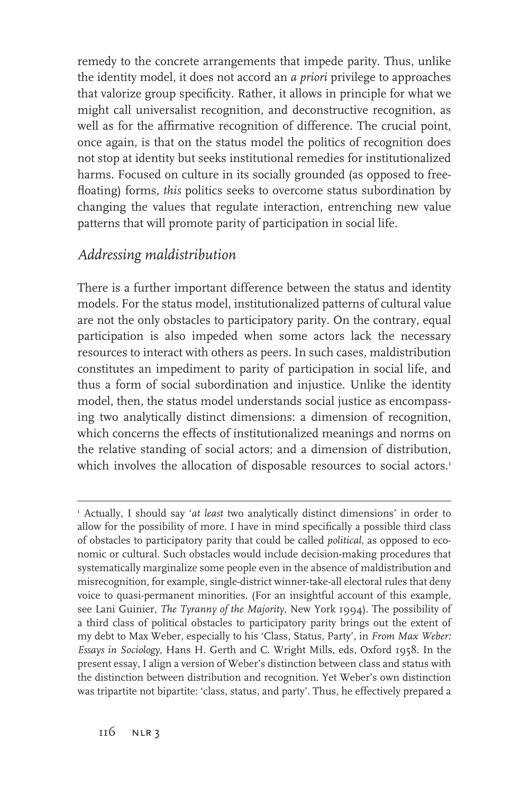remedy to the concrete arrangements that impede parity. Thus, unlike the identity model, it does not accord an *a priori* privilege to approaches that valorize group specificity. Rather, it allows in principle for what we might call universalist recognition, and deconstructive recognition, as well as for the affirmative recognition of difference. The crucial point, once again, is that on the status model the politics of recognition does not stop at identity but seeks institutional remedies for institutionalized harms. Focused on culture in its socially grounded (as opposed to freefloating) forms, *this* politics seeks to overcome status subordination by changing the values that regulate interaction, entrenching new value patterns that will promote parity of participation in social life.

#### *Addressing maldistribution*

There is a further important difference between the status and identity models. For the status model, institutionalized patterns of cultural value are not the only obstacles to participatory parity. On the contrary, equal participation is also impeded when some actors lack the necessary resources to interact with others as peers. In such cases, maldistribution constitutes an impediment to parity of participation in social life, and thus a form of social subordination and injustice. Unlike the identity model, then, the status model understands social justice as encompassing two analytically distinct dimensions: a dimension of recognition, which concerns the effects of institutionalized meanings and norms on the relative standing of social actors; and a dimension of distribution, which involves the allocation of disposable resources to social actors.<sup>1</sup>

<sup>1</sup> Actually, I should say '*at least* two analytically distinct dimensions' in order to allow for the possibility of more. I have in mind specifically a possible third class of obstacles to participatory parity that could be called *political*, as opposed to economic or cultural. Such obstacles would include decision-making procedures that systematically marginalize some people even in the absence of maldistribution and misrecognition, for example, single-district winner-take-all electoral rules that deny voice to quasi-permanent minorities. (For an insightful account of this example, see Lani Guinier, *The Tyranny of the Majority*, New York 1994). The possibility of a third class of political obstacles to participatory parity brings out the extent of my debt to Max Weber, especially to his 'Class, Status, Party', in *From Max Weber: Essays in Sociology*, Hans H. Gerth and C. Wright Mills, eds, Oxford 1958. In the present essay, I align a version of Weber's distinction between class and status with the distinction between distribution and recognition. Yet Weber's own distinction was tripartite not bipartite: 'class, status, and party'. Thus, he effectively prepared a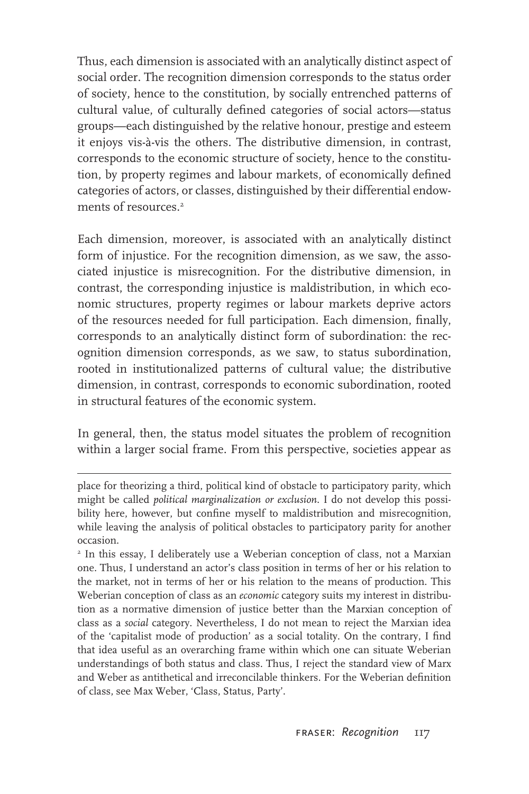Thus, each dimension is associated with an analytically distinct aspect of social order. The recognition dimension corresponds to the status order of society, hence to the constitution, by socially entrenched patterns of cultural value, of culturally defined categories of social actors-status groups—each distinguished by the relative honour, prestige and esteem it enjoys vis-à-vis the others. The distributive dimension, in contrast, corresponds to the economic structure of society, hence to the constitution, by property regimes and labour markets, of economically defined categories of actors, or classes, distinguished by their differential endowments of resources<sup>2</sup>

Each dimension, moreover, is associated with an analytically distinct form of injustice. For the recognition dimension, as we saw, the associated injustice is misrecognition. For the distributive dimension, in contrast, the corresponding injustice is maldistribution, in which economic structures, property regimes or labour markets deprive actors of the resources needed for full participation. Each dimension, finally, corresponds to an analytically distinct form of subordination: the recognition dimension corresponds, as we saw, to status subordination, rooted in institutionalized patterns of cultural value; the distributive dimension, in contrast, corresponds to economic subordination, rooted in structural features of the economic system.

In general, then, the status model situates the problem of recognition within a larger social frame. From this perspective, societies appear as

place for theorizing a third, political kind of obstacle to participatory parity, which might be called *political marginalization or exclusion*. I do not develop this possibility here, however, but confine myself to maldistribution and misrecognition, while leaving the analysis of political obstacles to participatory parity for another occasion.

<sup>2</sup> In this essay, I deliberately use a Weberian conception of class, not a Marxian one. Thus, I understand an actor's class position in terms of her or his relation to the market, not in terms of her or his relation to the means of production. This Weberian conception of class as an *economic* category suits my interest in distribution as a normative dimension of justice better than the Marxian conception of class as a *social* category. Nevertheless, I do not mean to reject the Marxian idea of the 'capitalist mode of production' as a social totality. On the contrary, I find that idea useful as an overarching frame within which one can situate Weberian understandings of both status and class. Thus, I reject the standard view of Marx and Weber as antithetical and irreconcilable thinkers. For the Weberian definition of class, see Max Weber, 'Class, Status, Party'.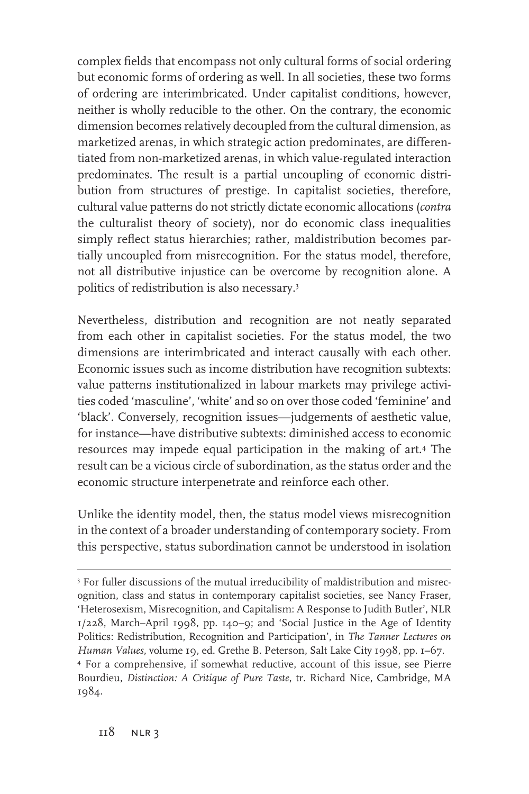complex fields that encompass not only cultural forms of social ordering but economic forms of ordering as well. In all societies, these two forms of ordering are interimbricated. Under capitalist conditions, however, neither is wholly reducible to the other. On the contrary, the economic dimension becomes relatively decoupled from the cultural dimension, as marketized arenas, in which strategic action predominates, are differentiated from non-marketized arenas, in which value-regulated interaction predominates. The result is a partial uncoupling of economic distribution from structures of prestige. In capitalist societies, therefore, cultural value patterns do not strictly dictate economic allocations (*contra* the culturalist theory of society), nor do economic class inequalities simply reflect status hierarchies; rather, maldistribution becomes partially uncoupled from misrecognition. For the status model, therefore, not all distributive injustice can be overcome by recognition alone. A politics of redistribution is also necessary.3

Nevertheless, distribution and recognition are not neatly separated from each other in capitalist societies. For the status model, the two dimensions are interimbricated and interact causally with each other. Economic issues such as income distribution have recognition subtexts: value patterns institutionalized in labour markets may privilege activities coded 'masculine', 'white' and so on over those coded 'feminine' and 'black'. Conversely, recognition issues—judgements of aesthetic value, for instance—have distributive subtexts: diminished access to economic resources may impede equal participation in the making of art.4 The result can be a vicious circle of subordination, as the status order and the economic structure interpenetrate and reinforce each other.

Unlike the identity model, then, the status model views misrecognition in the context of a broader understanding of contemporary society. From this perspective, status subordination cannot be understood in isolation

<sup>3</sup> For fuller discussions of the mutual irreducibility of maldistribution and misrecognition, class and status in contemporary capitalist societies, see Nancy Fraser, 'Heterosexism, Misrecognition, and Capitalism: A Response to Judith Butler', NLR 1/228, March–April 1998, pp. 140–9; and 'Social Justice in the Age of Identity Politics: Redistribution, Recognition and Participation', in *The Tanner Lectures on Human Values*, volume 19, ed. Grethe B. Peterson, Salt Lake City 1998, pp. 1–67. 4 For a comprehensive, if somewhat reductive, account of this issue, see Pierre Bourdieu, *Distinction: A Critique of Pure Taste*, tr. Richard Nice, Cambridge, MA 1984.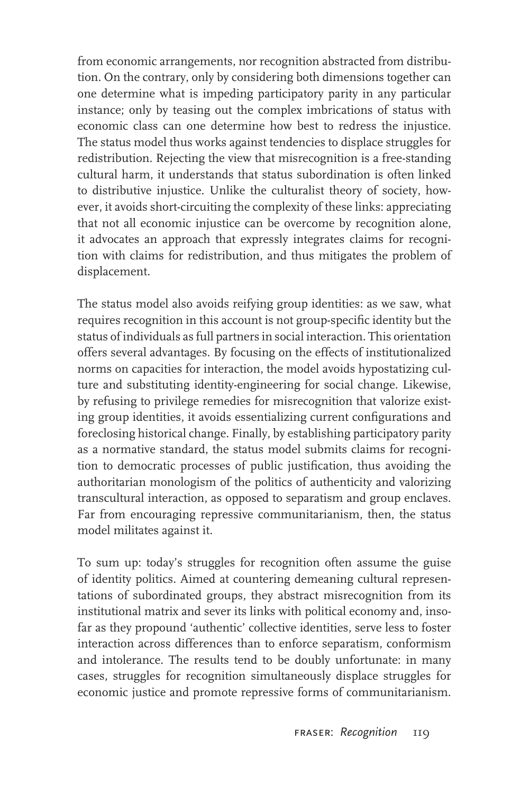from economic arrangements, nor recognition abstracted from distribution. On the contrary, only by considering both dimensions together can one determine what is impeding participatory parity in any particular instance; only by teasing out the complex imbrications of status with economic class can one determine how best to redress the injustice. The status model thus works against tendencies to displace struggles for redistribution. Rejecting the view that misrecognition is a free-standing cultural harm, it understands that status subordination is often linked to distributive injustice. Unlike the culturalist theory of society, however, it avoids short-circuiting the complexity of these links: appreciating that not all economic injustice can be overcome by recognition alone, it advocates an approach that expressly integrates claims for recognition with claims for redistribution, and thus mitigates the problem of displacement.

The status model also avoids reifying group identities: as we saw, what requires recognition in this account is not group-specific identity but the status of individuals as full partners in social interaction. This orientation offers several advantages. By focusing on the effects of institutionalized norms on capacities for interaction, the model avoids hypostatizing culture and substituting identity-engineering for social change. Likewise, by refusing to privilege remedies for misrecognition that valorize existing group identities, it avoids essentializing current configurations and foreclosing historical change. Finally, by establishing participatory parity as a normative standard, the status model submits claims for recognition to democratic processes of public justification, thus avoiding the authoritarian monologism of the politics of authenticity and valorizing transcultural interaction, as opposed to separatism and group enclaves. Far from encouraging repressive communitarianism, then, the status model militates against it.

To sum up: today's struggles for recognition often assume the guise of identity politics. Aimed at countering demeaning cultural representations of subordinated groups, they abstract misrecognition from its institutional matrix and sever its links with political economy and, insofar as they propound 'authentic' collective identities, serve less to foster interaction across differences than to enforce separatism, conformism and intolerance. The results tend to be doubly unfortunate: in many cases, struggles for recognition simultaneously displace struggles for economic justice and promote repressive forms of communitarianism.